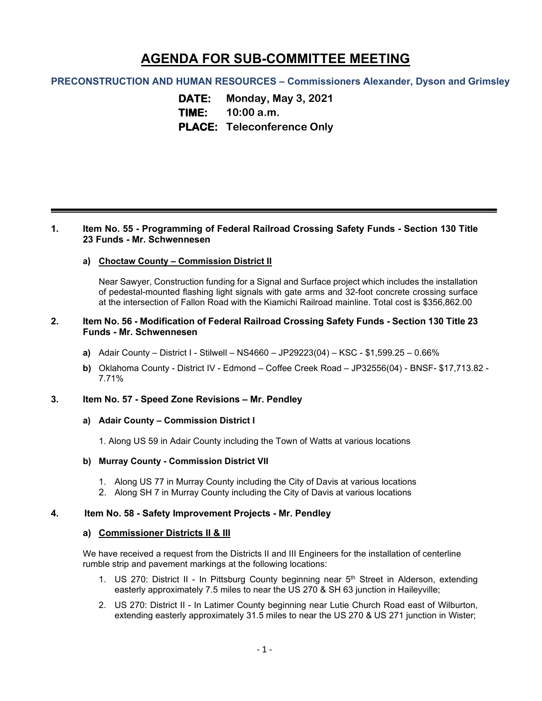# **AGENDA FOR SUB-COMMITTEE MEETING**

# **PRECONSTRUCTION AND HUMAN RESOURCES – Commissioners Alexander, Dyson and Grimsley**

**DATE: Monday, May 3, 2021 TIME: 10:00 a.m. PLACE: Teleconference Only**

## **1. Item No. 55 - Programming of Federal Railroad Crossing Safety Funds - Section 130 Title 23 Funds - Mr. Schwennesen**

## **a) Choctaw County – Commission District II**

Near Sawyer, Construction funding for a Signal and Surface project which includes the installation of pedestal-mounted flashing light signals with gate arms and 32-foot concrete crossing surface at the intersection of Fallon Road with the Kiamichi Railroad mainline. Total cost is \$356,862.00

## **2. Item No. 56 - Modification of Federal Railroad Crossing Safety Funds - Section 130 Title 23 Funds - Mr. Schwennesen**

- **a)** Adair County District I Stilwell NS4660 JP29223(04) KSC \$1,599.25 0.66%
- **b)** Oklahoma County District IV Edmond Coffee Creek Road JP32556(04) BNSF- \$17,713.82 7.71%

#### **3. Item No. 57 - Speed Zone Revisions – Mr. Pendley**

#### **a) Adair County – Commission District I**

1. Along US 59 in Adair County including the Town of Watts at various locations

#### **b) Murray County - Commission District VII**

- 1. Along US 77 in Murray County including the City of Davis at various locations
- 2. Along SH 7 in Murray County including the City of Davis at various locations

# **4. Item No. 58 - Safety Improvement Projects - Mr. Pendley**

#### **a) Commissioner Districts II & III**

We have received a request from the Districts II and III Engineers for the installation of centerline rumble strip and pavement markings at the following locations:

- 1. US 270: District II In Pittsburg County beginning near 5<sup>th</sup> Street in Alderson, extending easterly approximately 7.5 miles to near the US 270 & SH 63 junction in Haileyville;
- 2. US 270: District II In Latimer County beginning near Lutie Church Road east of Wilburton, extending easterly approximately 31.5 miles to near the US 270 & US 271 junction in Wister;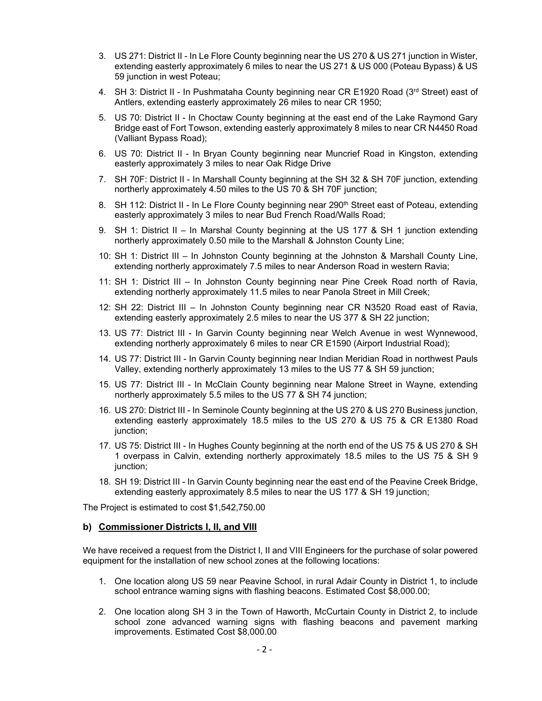- 3. US 271: District II In Le Flore County beginning near the US 270 & US 271 junction in Wister, extending easterly approximately 6 miles to near the US 271 & US 000 (Poteau Bypass) & US 59 junction in west Poteau;
- 4. SH 3: District II In Pushmataha County beginning near CR E1920 Road (3rd Street) east of Antlers, extending easterly approximately 26 miles to near CR 1950;
- 5. US 70: District II In Choctaw County beginning at the east end of the Lake Raymond Gary Bridge east of Fort Towson, extending easterly approximately 8 miles to near CR N4450 Road (Valliant Bypass Road);
- 6. US 70: District II In Bryan County beginning near Muncrief Road in Kingston, extending easterly approximately 3 miles to near Oak Ridge Drive
- 7. SH 70F: District II In Marshall County beginning at the SH 32 & SH 70F junction, extending northerly approximately 4.50 miles to the US 70 & SH 70F junction;
- 8. SH 112: District II In Le Flore County beginning near 290<sup>th</sup> Street east of Poteau, extending easterly approximately 3 miles to near Bud French Road/Walls Road;
- 9. SH 1: District II In Marshal County beginning at the US 177 & SH 1 junction extending northerly approximately 0.50 mile to the Marshall & Johnston County Line;
- 10: SH 1: District III In Johnston County beginning at the Johnston & Marshall County Line, extending northerly approximately 7.5 miles to near Anderson Road in western Ravia;
- 11: SH 1: District III In Johnston County beginning near Pine Creek Road north of Ravia, extending northerly approximately 11.5 miles to near Panola Street in Mill Creek;
- 12: SH 22: District III In Johnston County beginning near CR N3520 Road east of Ravia, extending easterly approximately 2.5 miles to near the US 377 & SH 22 junction;
- 13. US 77: District III In Garvin County beginning near Welch Avenue in west Wynnewood, extending northerly approximately 6 miles to near CR E1590 (Airport Industrial Road);
- 14. US 77: District III In Garvin County beginning near Indian Meridian Road in northwest Pauls Valley, extending northerly approximately 13 miles to the US 77 & SH 59 junction;
- 15. US 77: District III In McClain County beginning near Malone Street in Wayne, extending northerly approximately 5.5 miles to the US 77 & SH 74 junction;
- 16. US 270: District III In Seminole County beginning at the US 270 & US 270 Business junction, extending easterly approximately 18.5 miles to the US 270 & US 75 & CR E1380 Road junction;
- 17. US 75: District III In Hughes County beginning at the north end of the US 75 & US 270 & SH 1 overpass in Calvin, extending northerly approximately 18.5 miles to the US 75 & SH 9 junction;
- 18. SH 19: District III In Garvin County beginning near the east end of the Peavine Creek Bridge, extending easterly approximately 8.5 miles to near the US 177 & SH 19 junction;

The Project is estimated to cost \$1,542,750.00

#### **b) Commissioner Districts I, II, and VIII**

We have received a request from the District I, II and VIII Engineers for the purchase of solar powered equipment for the installation of new school zones at the following locations:

- 1. One location along US 59 near Peavine School, in rural Adair County in District 1, to include school entrance warning signs with flashing beacons. Estimated Cost \$8,000.00;
- 2. One location along SH 3 in the Town of Haworth, McCurtain County in District 2, to include school zone advanced warning signs with flashing beacons and pavement marking improvements. Estimated Cost \$8,000.00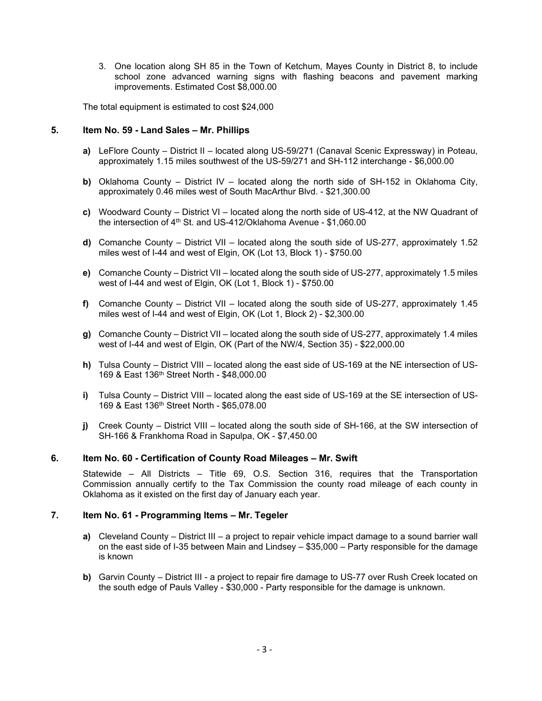3. One location along SH 85 in the Town of Ketchum, Mayes County in District 8, to include school zone advanced warning signs with flashing beacons and pavement marking improvements. Estimated Cost \$8,000.00

The total equipment is estimated to cost \$24,000

#### **5. Item No. 59 - Land Sales – Mr. Phillips**

- **a)** LeFlore County District II located along US-59/271 (Canaval Scenic Expressway) in Poteau, approximately 1.15 miles southwest of the US-59/271 and SH-112 interchange - \$6,000.00
- **b)** Oklahoma County District IV located along the north side of SH-152 in Oklahoma City, approximately 0.46 miles west of South MacArthur Blvd. - \$21,300.00
- **c)** Woodward County District VI located along the north side of US-412, at the NW Quadrant of the intersection of 4th St. and US-412/Oklahoma Avenue - \$1,060.00
- **d)** Comanche County District VII located along the south side of US-277, approximately 1.52 miles west of I-44 and west of Elgin, OK (Lot 13, Block 1) - \$750.00
- **e)** Comanche County District VII located along the south side of US-277, approximately 1.5 miles west of I-44 and west of Elgin, OK (Lot 1, Block 1) - \$750.00
- **f)** Comanche County District VII located along the south side of US-277, approximately 1.45 miles west of I-44 and west of Elgin, OK (Lot 1, Block 2) - \$2,300.00
- **g)** Comanche County District VII located along the south side of US-277, approximately 1.4 miles west of I-44 and west of Elgin, OK (Part of the NW/4, Section 35) - \$22,000.00
- **h)** Tulsa County District VIII located along the east side of US-169 at the NE intersection of US-169 & East 136th Street North - \$48,000.00
- **i)** Tulsa County District VIII located along the east side of US-169 at the SE intersection of US-169 & East 136th Street North - \$65,078.00
- **j)** Creek County District VIII located along the south side of SH-166, at the SW intersection of SH-166 & Frankhoma Road in Sapulpa, OK - \$7,450.00

# **6. Item No. 60 - Certification of County Road Mileages – Mr. Swift**

Statewide – All Districts – Title 69, O.S. Section 316, requires that the Transportation Commission annually certify to the Tax Commission the county road mileage of each county in Oklahoma as it existed on the first day of January each year.

#### **7. Item No. 61 - Programming Items – Mr. Tegeler**

- **a)** Cleveland County District III a project to repair vehicle impact damage to a sound barrier wall on the east side of I-35 between Main and Lindsey – \$35,000 – Party responsible for the damage is known
- **b)** Garvin County District III a project to repair fire damage to US-77 over Rush Creek located on the south edge of Pauls Valley - \$30,000 - Party responsible for the damage is unknown.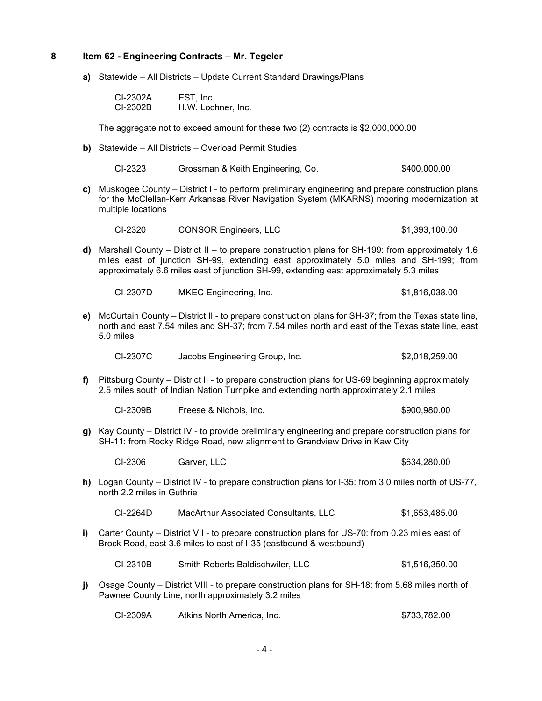# **8 Item 62 - Engineering Contracts – Mr. Tegeler**

**a)** Statewide – All Districts – Update Current Standard Drawings/Plans

| CI-2302A | EST, Inc.          |
|----------|--------------------|
| CI-2302B | H.W. Lochner, Inc. |

The aggregate not to exceed amount for these two (2) contracts is \$2,000,000.00

**b)** Statewide – All Districts – Overload Permit Studies

| CI-2323 | Grossman & Keith Engineering, Co. | \$400,000.00 |
|---------|-----------------------------------|--------------|
|---------|-----------------------------------|--------------|

**c)** Muskogee County – District I - to perform preliminary engineering and prepare construction plans for the McClellan-Kerr Arkansas River Navigation System (MKARNS) mooring modernization at multiple locations

| CI-2320 | <b>CONSOR Engineers, LLC</b> | \$1,393,100.00 |
|---------|------------------------------|----------------|
|---------|------------------------------|----------------|

**d)** Marshall County – District II – to prepare construction plans for SH-199: from approximately 1.6 miles east of junction SH-99, extending east approximately 5.0 miles and SH-199; from approximately 6.6 miles east of junction SH-99, extending east approximately 5.3 miles

CI-2307D MKEC Engineering, Inc. \$1,816,038.00

**e)** McCurtain County – District II - to prepare construction plans for SH-37; from the Texas state line, north and east 7.54 miles and SH-37; from 7.54 miles north and east of the Texas state line, east 5.0 miles

| CI-2307C | Jacobs Engineering Group, Inc. | \$2,018,259.00 |
|----------|--------------------------------|----------------|
|----------|--------------------------------|----------------|

**f)** Pittsburg County – District II - to prepare construction plans for US-69 beginning approximately 2.5 miles south of Indian Nation Turnpike and extending north approximately 2.1 miles

| CI-2309B | Freese & Nichols, Inc. | \$900,980.00 |
|----------|------------------------|--------------|
|----------|------------------------|--------------|

**g)** Kay County – District IV - to provide preliminary engineering and prepare construction plans for SH-11: from Rocky Ridge Road, new alignment to Grandview Drive in Kaw City

CI-2306 Garver, LLC \$634,280.00

**h)** Logan County – District IV - to prepare construction plans for I-35: from 3.0 miles north of US-77, north 2.2 miles in Guthrie

| CI-2264D | MacArthur Associated Consultants, LLC | \$1,653,485.00 |
|----------|---------------------------------------|----------------|
|----------|---------------------------------------|----------------|

**i)** Carter County – District VII - to prepare construction plans for US-70: from 0.23 miles east of Brock Road, east 3.6 miles to east of I-35 (eastbound & westbound)

CI-2310B Smith Roberts Baldischwiler, LLC \$1,516,350.00

**j)** Osage County – District VIII - to prepare construction plans for SH-18: from 5.68 miles north of Pawnee County Line, north approximately 3.2 miles

| CI-2309A | Atkins North America, Inc. | \$733,782.00 |
|----------|----------------------------|--------------|
|----------|----------------------------|--------------|